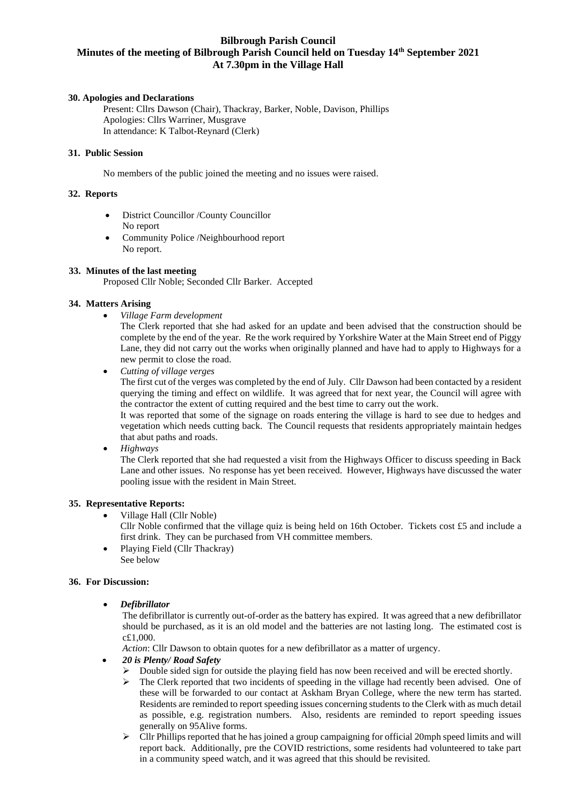# **Bilbrough Parish Council Minutes of the meeting of Bilbrough Parish Council held on Tuesday 14 th September 2021 At 7.30pm in the Village Hall**

### **30. Apologies and Declarations**

Present: Cllrs Dawson (Chair), Thackray, Barker, Noble, Davison, Phillips Apologies: Cllrs Warriner, Musgrave In attendance: K Talbot-Reynard (Clerk)

### **31. Public Session**

No members of the public joined the meeting and no issues were raised.

#### **32. Reports**

- District Councillor /County Councillor No report
- Community Police /Neighbourhood report No report.

## **33. Minutes of the last meeting**

Proposed Cllr Noble; Seconded Cllr Barker. Accepted

#### **34. Matters Arising**

• *Village Farm development*

The Clerk reported that she had asked for an update and been advised that the construction should be complete by the end of the year. Re the work required by Yorkshire Water at the Main Street end of Piggy Lane, they did not carry out the works when originally planned and have had to apply to Highways for a new permit to close the road.

• *Cutting of village verges*

The first cut of the verges was completed by the end of July. Cllr Dawson had been contacted by a resident querying the timing and effect on wildlife. It was agreed that for next year, the Council will agree with the contractor the extent of cutting required and the best time to carry out the work.

It was reported that some of the signage on roads entering the village is hard to see due to hedges and vegetation which needs cutting back. The Council requests that residents appropriately maintain hedges that abut paths and roads.

• *Highways*

The Clerk reported that she had requested a visit from the Highways Officer to discuss speeding in Back Lane and other issues. No response has yet been received. However, Highways have discussed the water pooling issue with the resident in Main Street.

#### **35. Representative Reports:**

• Village Hall (Cllr Noble)

Cllr Noble confirmed that the village quiz is being held on 16th October. Tickets cost £5 and include a first drink. They can be purchased from VH committee members.

• Playing Field (Cllr Thackray) See below

#### **36. For Discussion:**

#### • *Defibrillator*

The defibrillator is currently out-of-order as the battery has expired. It was agreed that a new defibrillator should be purchased, as it is an old model and the batteries are not lasting long. The estimated cost is c£1,000.

*Action*: Cllr Dawson to obtain quotes for a new defibrillator as a matter of urgency.

- *20 is Plenty/ Road Safety*
	- ➢ Double sided sign for outside the playing field has now been received and will be erected shortly.
	- $\triangleright$  The Clerk reported that two incidents of speeding in the village had recently been advised. One of these will be forwarded to our contact at Askham Bryan College, where the new term has started. Residents are reminded to report speeding issues concerning students to the Clerk with as much detail as possible, e.g. registration numbers. Also, residents are reminded to report speeding issues generally on 95Alive forms.
	- $\triangleright$  Cllr Phillips reported that he has joined a group campaigning for official 20mph speed limits and will report back. Additionally, pre the COVID restrictions, some residents had volunteered to take part in a community speed watch, and it was agreed that this should be revisited.